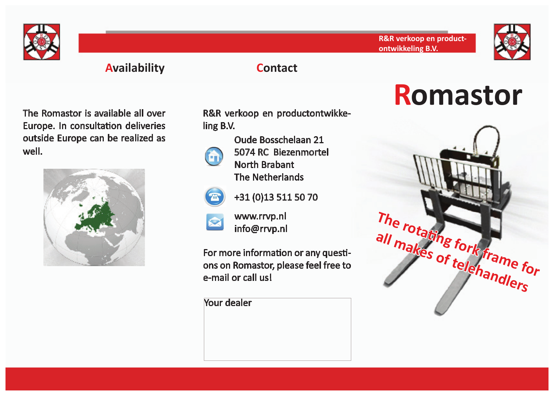



# **Availability Contact**

The Romastor is available all over Europe. In consultation deliveries outside Europe can be realized as well.



R&R verkoop en productontwikkeling B.V.



Oude Bosschelaan 21 5074 RC Biezenmortel North Brabant The Netherlands



+31 (0)13 511 50 70

www.rrvp.nl info@rrvp.nl

For more information or any questions on Romastor, please feel free to e-mail or call us!

Your dealer

# **Romastor**